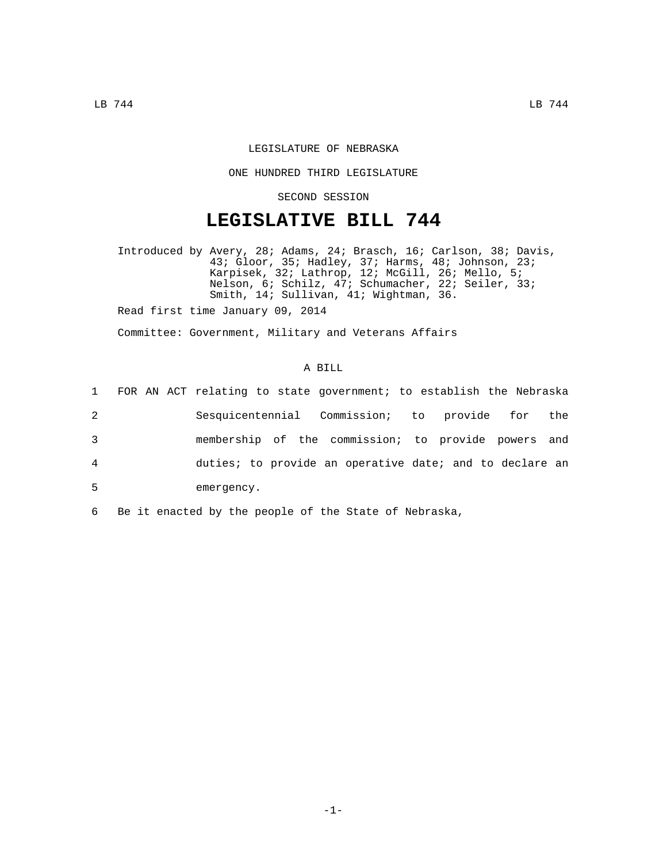## LEGISLATURE OF NEBRASKA

## ONE HUNDRED THIRD LEGISLATURE

SECOND SESSION

## **LEGISLATIVE BILL 744**

Introduced by Avery, 28; Adams, 24; Brasch, 16; Carlson, 38; Davis, 43; Gloor, 35; Hadley, 37; Harms, 48; Johnson, 23; Karpisek, 32; Lathrop, 12; McGill, 26; Mello, 5; Nelson, 6; Schilz, 47; Schumacher, 22; Seiler, 33; Smith, 14; Sullivan, 41; Wightman, 36.

Read first time January 09, 2014

Committee: Government, Military and Veterans Affairs

## A BILL

|                | 1 FOR AN ACT relating to state government; to establish the Nebraska |
|----------------|----------------------------------------------------------------------|
| 2              | Sesquicentennial Commission; to provide for the                      |
| 3              | membership of the commission; to provide powers and                  |
| $\overline{4}$ | duties; to provide an operative date; and to declare an              |
| 5              | emergency.                                                           |

6 Be it enacted by the people of the State of Nebraska,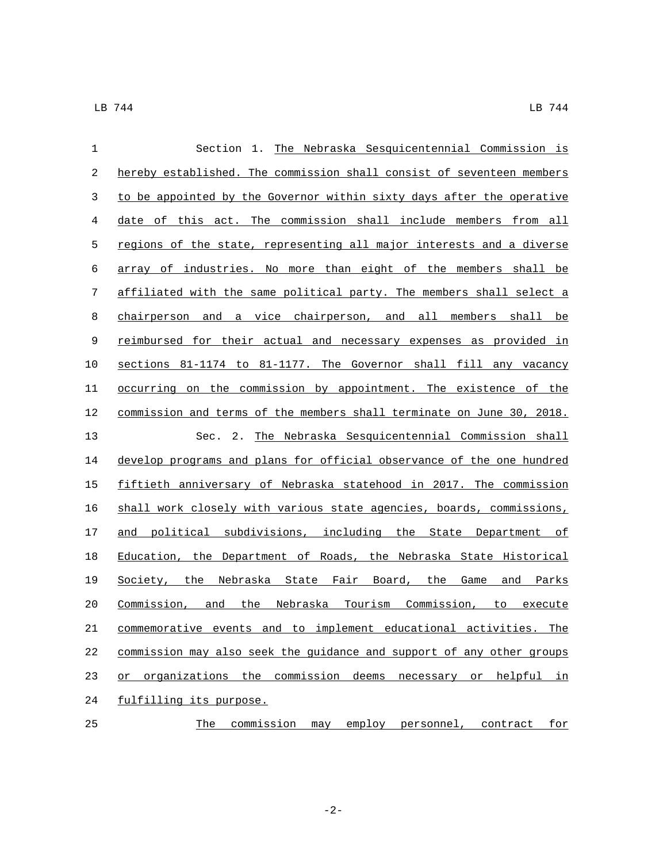| $\mathbf{1}$ | Section 1. The Nebraska Sesquicentennial Commission is                |
|--------------|-----------------------------------------------------------------------|
| 2            | hereby established. The commission shall consist of seventeen members |
| 3            | to be appointed by the Governor within sixty days after the operative |
| 4            | date of this act. The commission shall include members from all       |
| 5            | regions of the state, representing all major interests and a diverse  |
| 6            | array of industries. No more than eight of the members shall be       |
| 7            | affiliated with the same political party. The members shall select a  |
| 8            | chairperson and a vice chairperson, and all members shall be          |
| $\mathsf 9$  | reimbursed for their actual and necessary expenses as provided in     |
| 10           | sections 81-1174 to 81-1177. The Governor shall fill any vacancy      |
| 11           | occurring on the commission by appointment. The existence of the      |
| 12           | commission and terms of the members shall terminate on June 30, 2018. |
| 13           | The Nebraska Sesquicentennial Commission shall<br>Sec. 2.             |
| 14           | develop programs and plans for official observance of the one hundred |
| 15           | fiftieth anniversary of Nebraska statehood in 2017. The commission    |
| 16           | shall work closely with various state agencies, boards, commissions,  |
| 17           | and political subdivisions, including the State Department of         |
| 18           | Education, the Department of Roads, the Nebraska State Historical     |
| 19           | Society, the Nebraska State Fair Board, the Game and Parks            |
| 20           | Commission, and the Nebraska Tourism Commission, to execute           |
| 21           | commemorative events and to implement educational activities. The     |
| 22           | commission may also seek the guidance and support of any other groups |
| 23           | or organizations the commission deems necessary or helpful<br>in      |
| 24           | fulfilling its purpose.                                               |
| 25           | commission may employ personnel, contract<br>The<br><u>for</u>        |

-2-